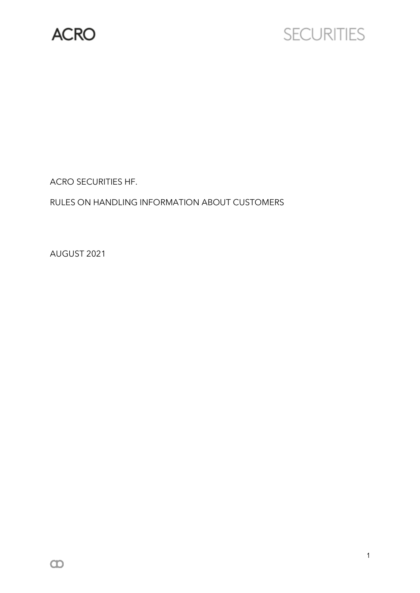

# **SECURITIES**

ACRO SECURITIES HF.

RULES ON HANDLING INFORMATION ABOUT CUSTOMERS

AUGUST 2021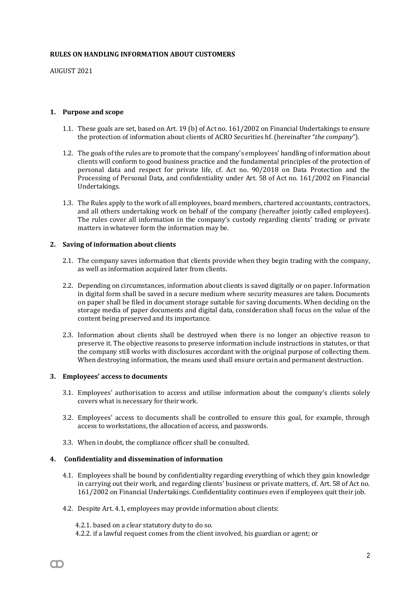#### **RULES ON HANDLING INFORMATION ABOUT CUSTOMERS**

AUGUST 2021

#### **1. Purpose and scope**

- 1.1. These goals are set, based on Art. 19 (b) of Act no. 161/2002 on Financial Undertakings to ensure the protection of information about clients of ACRO Securities hf. (hereinafter "*the company*").
- 1.2. The goals of the rules are to promote that the company's employees' handling of information about clients will conform to good business practice and the fundamental principles of the protection of personal data and respect for private life, cf. Act no. 90/2018 on Data Protection and the Processing of Personal Data, and confidentiality under Art. 58 of Act no. 161/2002 on Financial Undertakings.
- 1.3. The Rules apply to the work of all employees, board members, chartered accountants, contractors, and all others undertaking work on behalf of the company (hereafter jointly called employees). The rules cover all information in the company's custody regarding clients' trading or private matters in whatever form the information may be.

## **2. Saving of information about clients**

- 2.1. The company saves information that clients provide when they begin trading with the company, as well as information acquired later from clients.
- 2.2. Depending on circumstances, information about clients is saved digitally or on paper. Information in digital form shall be saved in a secure medium where security measures are taken. Documents on paper shall be filed in document storage suitable for saving documents. When deciding on the storage media of paper documents and digital data, consideration shall focus on the value of the content being preserved and its importance.
- 2.3. Information about clients shall be destroyed when there is no longer an objective reason to preserve it. The objective reasons to preserve information include instructions in statutes, or that the company still works with disclosures accordant with the original purpose of collecting them. When destroying information, the means used shall ensure certain and permanent destruction.

#### **3. Employees' access to documents**

- 3.1. Employees' authorisation to access and utilise information about the company's clients solely covers what is necessary for their work.
- 3.2. Employees' access to documents shall be controlled to ensure this goal, for example, through access to workstations, the allocation of access, and passwords.
- 3.3. When in doubt, the compliance officer shall be consulted.

## **4. Confidentiality and dissemination of information**

- 4.1. Employees shall be bound by confidentiality regarding everything of which they gain knowledge in carrying out their work, and regarding clients' business or private matters, cf. Art. 58 of Act no. 161/2002 on Financial Undertakings. Confidentiality continues even if employees quit their job.
- 4.2. Despite Art. 4.1, employees may provide information about clients:

4.2.1. based on a clear statutory duty to do so.

4.2.2. if a lawful request comes from the client involved, his guardian or agent; or